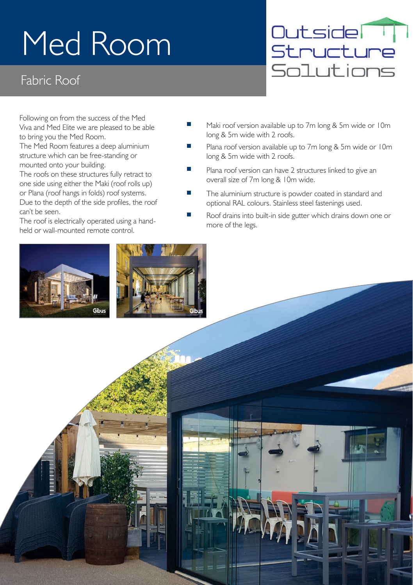# Med Room

#### Fabric Roof

Outsider Structure Solutions

Following on from the success of the Med Viva and Med Elite we are pleased to be able to bring you the Med Room.

The Med Room features a deep aluminium structure which can be free-standing or mounted onto your building.

The roofs on these structures fully retract to one side using either the Maki (roof rolls up) or Plana (roof hangs in folds) roof systems. Due to the depth of the side profiles, the roof can't be seen.

The roof is electrically operated using a handheld or wall-mounted remote control.





- $\blacksquare$ Maki roof version available up to 7m long & 5m wide or 10m long & 5m wide with 2 roofs.
- Plana roof version available up to 7m long & 5m wide or 10m long & 5m wide with 2 roofs.
- Plana roof version can have 2 structures linked to give an overall size of 7m long & 10m wide.
- The aluminium structure is powder coated in standard and optional RAL colours. Stainless steel fastenings used.
- Roof drains into built-in side gutter which drains down one or more of the legs.